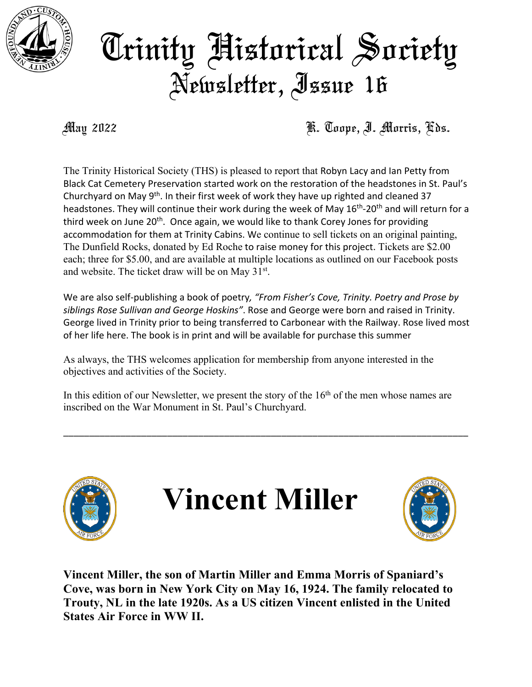

## Trinity Historical Society Newsletter, Issue 16

May 2022 **K. Toope, J. Morris, Kds.** 

The Trinity Historical Society (THS) is pleased to report that Robyn Lacy and Ian Petty from Black Cat Cemetery Preservation started work on the restoration of the headstones in St. Paul's Churchyard on May 9th. In their first week of work they have up righted and cleaned 37 headstones. They will continue their work during the week of May 16<sup>th</sup>-20<sup>th</sup> and will return for a third week on June 20<sup>th</sup>. Once again, we would like to thank Corey Jones for providing accommodation for them at Trinity Cabins. We continue to sell tickets on an original painting, The Dunfield Rocks, donated by Ed Roche to raise money for this project. Tickets are \$2.00 each; three for \$5.00, and are available at multiple locations as outlined on our Facebook posts and website. The ticket draw will be on May  $31^{st}$ .

We are also self-publishing a book of poetry*, "From Fisher's Cove, Trinity. Poetry and Prose by siblings Rose Sullivan and George Hoskins"*. Rose and George were born and raised in Trinity. George lived in Trinity prior to being transferred to Carbonear with the Railway. Rose lived most of her life here. The book is in print and will be available for purchase this summer

As always, the THS welcomes application for membership from anyone interested in the objectives and activities of the Society.

In this edition of our Newsletter, we present the story of the  $16<sup>th</sup>$  of the men whose names are inscribed on the War Monument in St. Paul's Churchyard.

\_\_\_\_\_\_\_\_\_\_\_\_\_\_\_\_\_\_\_\_\_\_\_\_\_\_\_\_\_\_\_\_\_\_\_\_\_\_\_\_\_\_\_\_\_\_\_\_\_\_\_\_\_\_\_\_\_\_\_\_\_\_\_\_\_\_\_\_\_\_\_\_\_\_\_\_\_\_



**Vincent Miller, the son of Martin Miller and Emma Morris of Spaniard's Cove, was born in New York City on May 16, 1924. The family relocated to Trouty, NL in the late 1920s. As a US citizen Vincent enlisted in the United States Air Force in WW II.**